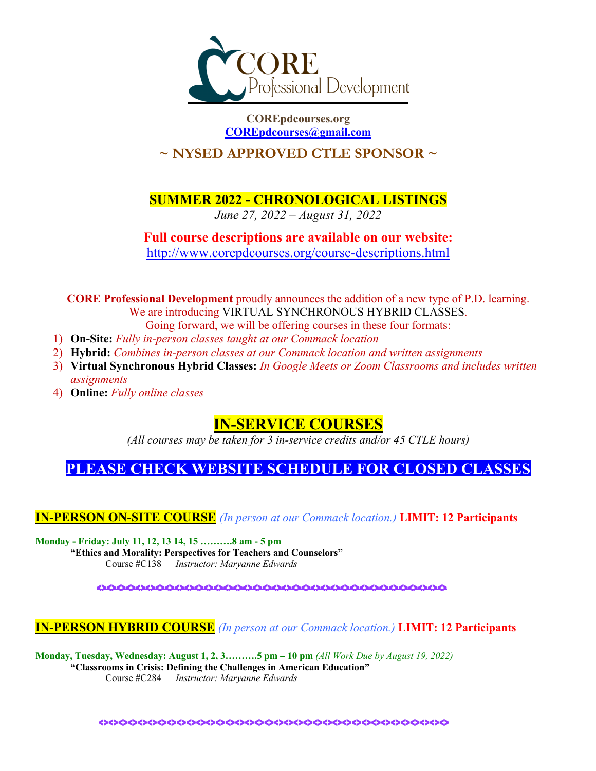

**COREpdcourses.org COREpdcourses@gmail.com**

# **~ NYSED APPROVED CTLE SPONSOR ~**

**SUMMER 2022 - CHRONOLOGICAL LISTINGS**

*June 27, 2022 – August 31, 2022*

# **Full course descriptions are available on our website:** http://www.corepdcourses.org/course-descriptions.html

**CORE Professional Development** proudly announces the addition of a new type of P.D. learning. We are introducing VIRTUAL SYNCHRONOUS HYBRID CLASSES. Going forward, we will be offering courses in these four formats:

- 1) **On-Site:** *Fully in-person classes taught at our Commack location*
- 2) **Hybrid:** *Combines in-person classes at our Commack location and written assignments*
- 3) **Virtual Synchronous Hybrid Classes:** *In Google Meets or Zoom Classrooms and includes written assignments*
- 4) **Online:** *Fully online classes*

# **IN-SERVICE COURSES**

*(All courses may be taken for 3 in-service credits and/or 45 CTLE hours)*

# **PLEASE CHECK WEBSITE SCHEDULE FOR CLOSED CLASSES**

**IN-PERSON ON-SITE COURSE** *(In person at our Commack location.)* **LIMIT: 12 Participants**

**Monday - Friday: July 11, 12, 13 14, 15 ……….8 am - 5 pm** 

**"Ethics and Morality: Perspectives for Teachers and Counselors"** 

Course #C138 *Instructor: Maryanne Edwards*

<><><><><><><><><><><><><><><><><><><><><><><><><><><><><><><><><><><><>

# **IN-PERSON HYBRID COURSE** *(In person at our Commack location.)* **LIMIT: 12 Participants**

**Monday, Tuesday, Wednesday: August 1, 2, 3……….5 pm – 10 pm** *(All Work Due by August 19, 2022)* **"Classrooms in Crisis: Defining the Challenges in American Education"** Course #C284 *Instructor: Maryanne Edwards*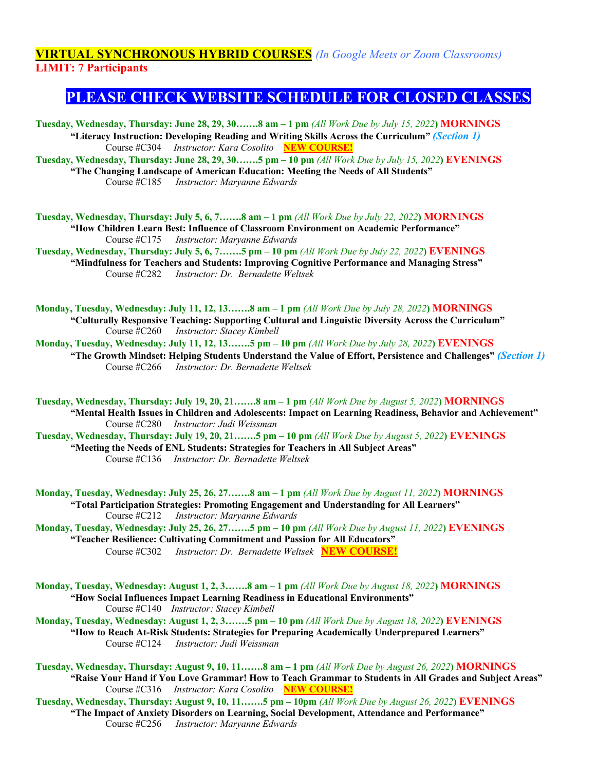# **VIRTUAL SYNCHRONOUS HYBRID COURSES** *(In Google Meets or Zoom Classrooms)* **LIMIT: 7 Participants**

# **PLEASE CHECK WEBSITE SCHEDULE FOR CLOSED CLASSES**

**Tuesday, Wednesday, Thursday: June 28, 29, 30…….8 am – 1 pm** *(All Work Due by July 15, 2022***) MORNINGS "Literacy Instruction: Developing Reading and Writing Skills Across the Curriculum"** *(Section 1)*  Course #C304 *Instructor: Kara Cosolito* **NEW COURSE! Tuesday, Wednesday, Thursday: June 28, 29, 30…….5 pm – 10 pm** *(All Work Due by July 15, 2022***) EVENINGS "The Changing Landscape of American Education: Meeting the Needs of All Students"**  Course #C185 *Instructor: Maryanne Edwards*

**Tuesday, Wednesday, Thursday: July 5, 6, 7…….8 am – 1 pm** *(All Work Due by July 22, 2022***) MORNINGS "How Children Learn Best: Influence of Classroom Environment on Academic Performance"**  Course #C175 *Instructor: Maryanne Edwards*

**Tuesday, Wednesday, Thursday: July 5, 6, 7…….5 pm – 10 pm** *(All Work Due by July 22, 2022***) EVENINGS "Mindfulness for Teachers and Students: Improving Cognitive Performance and Managing Stress"** Course #C282 *Instructor: Dr. Bernadette Weltsek*

**Monday, Tuesday, Wednesday: July 11, 12, 13…….8 am – 1 pm** *(All Work Due by July 28, 2022***) MORNINGS "Culturally Responsive Teaching: Supporting Cultural and Linguistic Diversity Across the Curriculum"** Course #C260 *Instructor: Stacey Kimbell*

**Monday, Tuesday, Wednesday: July 11, 12, 13…….5 pm – 10 pm** *(All Work Due by July 28, 2022***) EVENINGS "The Growth Mindset: Helping Students Understand the Value of Effort, Persistence and Challenges"** *(Section 1)*  Course #C266 *Instructor: Dr. Bernadette Weltsek*

**Tuesday, Wednesday, Thursday: July 19, 20, 21…….8 am – 1 pm** *(All Work Due by August 5, 2022***) MORNINGS**

**"Mental Health Issues in Children and Adolescents: Impact on Learning Readiness, Behavior and Achievement"**  Course #C280 *Instructor: Judi Weissman*

**Tuesday, Wednesday, Thursday: July 19, 20, 21…….5 pm – 10 pm** *(All Work Due by August 5, 2022***) EVENINGS "Meeting the Needs of ENL Students: Strategies for Teachers in All Subject Areas"** Course #C136 *Instructor: Dr. Bernadette Weltsek*

**Monday, Tuesday, Wednesday: July 25, 26, 27…….8 am – 1 pm** *(All Work Due by August 11, 2022***) MORNINGS "Total Participation Strategies: Promoting Engagement and Understanding for All Learners"**  Course #C212 *Instructor: Maryanne Edwards* **Monday, Tuesday, Wednesday: July 25, 26, 27…….5 pm – 10 pm** *(All Work Due by August 11, 2022***) EVENINGS**

**"Teacher Resilience: Cultivating Commitment and Passion for All Educators"**  Course #C302 *Instructor: Dr. Bernadette Weltsek* **NEW COURSE!**

**Monday, Tuesday, Wednesday: August 1, 2, 3…….8 am – 1 pm** *(All Work Due by August 18, 2022***) MORNINGS "How Social Influences Impact Learning Readiness in Educational Environments"** Course #C140 *Instructor: Stacey Kimbell* 

**Monday, Tuesday, Wednesday: August 1, 2, 3…….5 pm – 10 pm** *(All Work Due by August 18, 2022***) EVENINGS "How to Reach At-Risk Students: Strategies for Preparing Academically Underprepared Learners"** Course #C124 *Instructor: Judi Weissman*

**Tuesday, Wednesday, Thursday: August 9, 10, 11…….8 am – 1 pm** *(All Work Due by August 26, 2022***) MORNINGS "Raise Your Hand if You Love Grammar! How to Teach Grammar to Students in All Grades and Subject Areas"**  Course #C316 *Instructor: Kara Cosolito* **NEW COURSE!** 

**Tuesday, Wednesday, Thursday: August 9, 10, 11…….5 pm – 10pm** *(All Work Due by August 26, 2022***) EVENINGS "The Impact of Anxiety Disorders on Learning, Social Development, Attendance and Performance"**  Course #C256 *Instructor: Maryanne Edwards*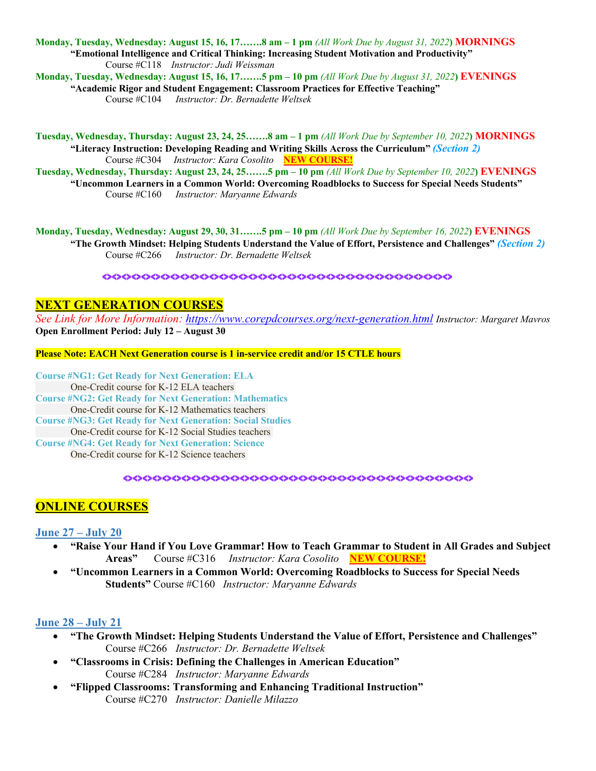**Monday, Tuesday, Wednesday: August 15, 16, 17…….8 am – 1 pm** *(All Work Due by August 31, 2022***) MORNINGS "Emotional Intelligence and Critical Thinking: Increasing Student Motivation and Productivity"** Course #C118 *Instructor: Judi Weissman*

**Monday, Tuesday, Wednesday: August 15, 16, 17…….5 pm – 10 pm** *(All Work Due by August 31, 2022***) EVENINGS "Academic Rigor and Student Engagement: Classroom Practices for Effective Teaching"**

Course #C104 *Instructor: Dr. Bernadette Weltsek*

**Tuesday, Wednesday, Thursday: August 23, 24, 25…….8 am – 1 pm** *(All Work Due by September 10, 2022***) MORNINGS "Literacy Instruction: Developing Reading and Writing Skills Across the Curriculum"** *(Section 2)*  Course #C304 *Instructor: Kara Cosolito* **NEW COURSE!** 

**Tuesday, Wednesday, Thursday: August 23, 24, 25…….5 pm – 10 pm** *(All Work Due by September 10, 2022***) EVENINGS "Uncommon Learners in a Common World: Overcoming Roadblocks to Success for Special Needs Students"**  Course #C160 *Instructor: Maryanne Edwards*

**Monday, Tuesday, Wednesday: August 29, 30, 31…….5 pm – 10 pm** *(All Work Due by September 16, 2022***) EVENINGS**

**"The Growth Mindset: Helping Students Understand the Value of Effort, Persistence and Challenges"** *(Section 2)*  Course #C266 *Instructor: Dr. Bernadette Weltsek*

<><><><><><><><><><><><><><><><><><><><><><><><><><><><><><><><><><><><>

#### **NEXT GENERATION COURSES**

*See Link for More Information: https://www.corepdcourses.org/next-generation.html Instructor: Margaret Mavros* **Open Enrollment Period: July 12 – August 30**

**Please Note: EACH Next Generation course is 1 in-service credit and/or 15 CTLE hours**

**Course #NG1: Get Ready for Next Generation: ELA** One-Credit course for K-12 ELA teachers **Course #NG2: Get Ready for Next Generation: Mathematics** One-Credit course for K-12 Mathematics teachers **Course #NG3: Get Ready for Next Generation: Social Studies** One-Credit course for K-12 Social Studies teachers **Course #NG4: Get Ready for Next Generation: Science** One-Credit course for K-12 Science teachers

<><><><><><><><><><><><><><><><><><><><><><><><><><><><><><><><><><><><>

# **ONLINE COURSES**

#### **June 27 – July 20**

- **"Raise Your Hand if You Love Grammar! How to Teach Grammar to Student in All Grades and Subject Areas"** Course #C316 *Instructor: Kara Cosolito* **NEW COURSE!**
- **"Uncommon Learners in a Common World: Overcoming Roadblocks to Success for Special Needs Students"** Course #C160 *Instructor: Maryanne Edwards*

#### **June 28 – July 21**

- **"The Growth Mindset: Helping Students Understand the Value of Effort, Persistence and Challenges"** Course #C266 *Instructor: Dr. Bernadette Weltsek*
- **"Classrooms in Crisis: Defining the Challenges in American Education"**  Course #C284 *Instructor: Maryanne Edwards*
- **"Flipped Classrooms: Transforming and Enhancing Traditional Instruction"** Course #C270 *Instructor: Danielle Milazzo*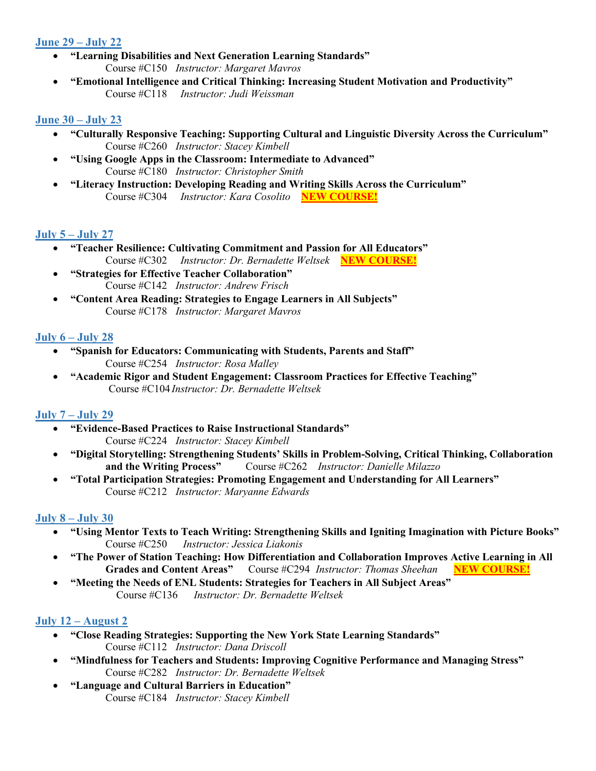# **June 29 – July 22**

- **"Learning Disabilities and Next Generation Learning Standards"** Course #C150 *Instructor: Margaret Mavros*
- **"Emotional Intelligence and Critical Thinking: Increasing Student Motivation and Productivity"**  Course #C118 *Instructor: Judi Weissman*

# **June 30 – July 23**

- **"Culturally Responsive Teaching: Supporting Cultural and Linguistic Diversity Across the Curriculum"** Course #C260 *Instructor: Stacey Kimbell*
- **"Using Google Apps in the Classroom: Intermediate to Advanced"**  Course #C180 *Instructor: Christopher Smith*
- **"Literacy Instruction: Developing Reading and Writing Skills Across the Curriculum"**  Course #C304 *Instructor: Kara Cosolito* **NEW COURSE!**

# **July 5 – July 27**

- **"Teacher Resilience: Cultivating Commitment and Passion for All Educators"**  Course #C302 *Instructor: Dr. Bernadette Weltsek* **NEW COURSE!**
- **"Strategies for Effective Teacher Collaboration"** Course #C142 *Instructor: Andrew Frisch*
- **"Content Area Reading: Strategies to Engage Learners in All Subjects"**  Course #C178 *Instructor: Margaret Mavros*

## **July 6 – July 28**

- **"Spanish for Educators: Communicating with Students, Parents and Staff"**  Course #C254 *Instructor: Rosa Malley*
- **"Academic Rigor and Student Engagement: Classroom Practices for Effective Teaching"** Course #C104 *Instructor: Dr. Bernadette Weltsek*

#### **July 7 – July 29**

- **"Evidence-Based Practices to Raise Instructional Standards"** Course #C224 *Instructor: Stacey Kimbell*
- **"Digital Storytelling: Strengthening Students' Skills in Problem-Solving, Critical Thinking, Collaboration and the Writing Process"** Course #C262 *Instructor: Danielle Milazzo*
- **"Total Participation Strategies: Promoting Engagement and Understanding for All Learners"**  Course #C212 *Instructor: Maryanne Edwards*

#### **July 8 – July 30**

- **"Using Mentor Texts to Teach Writing: Strengthening Skills and Igniting Imagination with Picture Books"**  Course #C250 *Instructor: Jessica Liakonis*
- **"The Power of Station Teaching: How Differentiation and Collaboration Improves Active Learning in All Grades and Content Areas"** Course #C294 *Instructor: Thomas Sheehan* **NEW COURSE!**
- **"Meeting the Needs of ENL Students: Strategies for Teachers in All Subject Areas"** Course #C136 *Instructor: Dr. Bernadette Weltsek*

#### **July 12 – August 2**

- **"Close Reading Strategies: Supporting the New York State Learning Standards"** Course #C112 *Instructor: Dana Driscoll*
- **"Mindfulness for Teachers and Students: Improving Cognitive Performance and Managing Stress"** Course #C282 *Instructor: Dr. Bernadette Weltsek*
- **"Language and Cultural Barriers in Education"** Course #C184 *Instructor: Stacey Kimbell*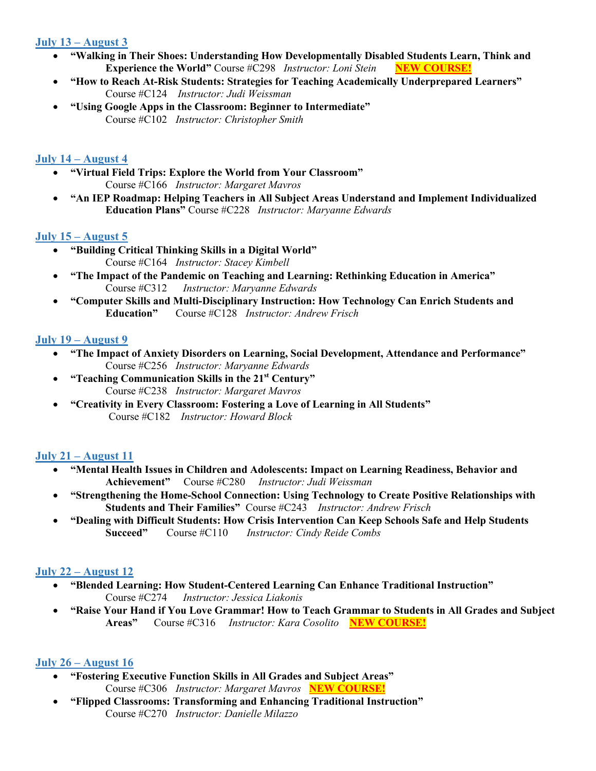## **July 13 – August 3**

- **"Walking in Their Shoes: Understanding How Developmentally Disabled Students Learn, Think and Experience the World"** Course #C298 *Instructor: Loni Stein* **NEW COURSE!**
- **"How to Reach At-Risk Students: Strategies for Teaching Academically Underprepared Learners"** Course #C124 *Instructor: Judi Weissman*
- **"Using Google Apps in the Classroom: Beginner to Intermediate"** Course #C102 *Instructor: Christopher Smith*

#### **July 14 – August 4**

- **"Virtual Field Trips: Explore the World from Your Classroom"**  Course #C166 *Instructor: Margaret Mavros*
- **"An IEP Roadmap: Helping Teachers in All Subject Areas Understand and Implement Individualized Education Plans"** Course #C228 *Instructor: Maryanne Edwards*

## **July 15 – August 5**

- • **"Building Critical Thinking Skills in a Digital World"** Course #C164 *Instructor: Stacey Kimbell*
- **"The Impact of the Pandemic on Teaching and Learning: Rethinking Education in America"**  Course #C312 *Instructor: Maryanne Edwards*
- **"Computer Skills and Multi-Disciplinary Instruction: How Technology Can Enrich Students and Education"** Course #C128 *Instructor: Andrew Frisch*

## **July 19 – August 9**

- **"The Impact of Anxiety Disorders on Learning, Social Development, Attendance and Performance"**  Course #C256 *Instructor: Maryanne Edwards*
- **"Teaching Communication Skills in the 21st Century"** Course #C238 *Instructor: Margaret Mavros*
- **"Creativity in Every Classroom: Fostering a Love of Learning in All Students"** Course #C182 *Instructor: Howard Block*

#### **July 21 – August 11**

- **"Mental Health Issues in Children and Adolescents: Impact on Learning Readiness, Behavior and Achievement"** Course #C280 *Instructor: Judi Weissman*
- **"Strengthening the Home-School Connection: Using Technology to Create Positive Relationships with Students and Their Families"** Course #C243 *Instructor: Andrew Frisch*
- **"Dealing with Difficult Students: How Crisis Intervention Can Keep Schools Safe and Help Students Succeed"** Course #C110*Instructor: Cindy Reide Combs*

# **July 22 – August 12**

- **"Blended Learning: How Student-Centered Learning Can Enhance Traditional Instruction"**  Course #C274 *Instructor: Jessica Liakonis*
- **"Raise Your Hand if You Love Grammar! How to Teach Grammar to Students in All Grades and Subject Areas"** Course #C316 *Instructor: Kara Cosolito* **NEW COURSE!**

#### **July 26 – August 16**

- **"Fostering Executive Function Skills in All Grades and Subject Areas"**  Course #C306 *Instructor: Margaret Mavros* **NEW COURSE!**
- **"Flipped Classrooms: Transforming and Enhancing Traditional Instruction"**  Course #C270 *Instructor: Danielle Milazzo*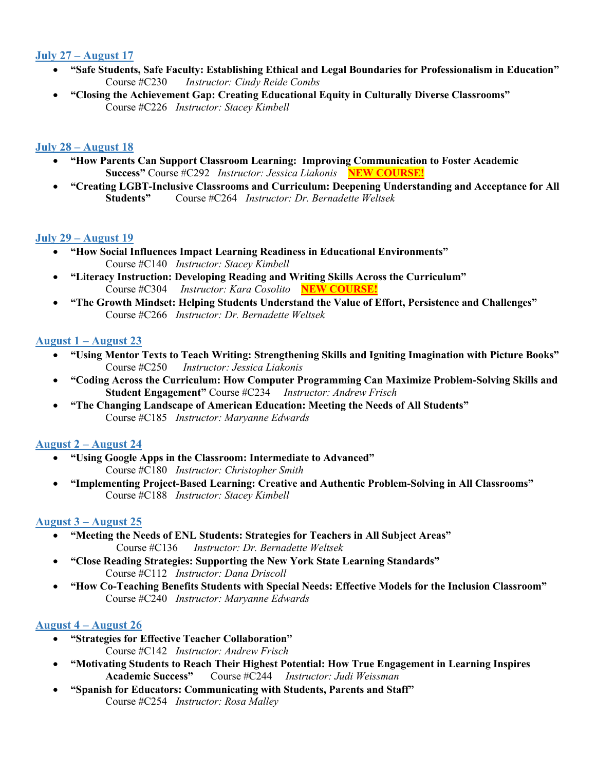## **July 27 – August 17**

- **"Safe Students, Safe Faculty: Establishing Ethical and Legal Boundaries for Professionalism in Education"**  Course #C230*Instructor: Cindy Reide Combs*
- **"Closing the Achievement Gap: Creating Educational Equity in Culturally Diverse Classrooms"**  Course #C226 *Instructor: Stacey Kimbell*

## **July 28 – August 18**

- **"How Parents Can Support Classroom Learning: Improving Communication to Foster Academic Success"** Course #C292 *Instructor: Jessica Liakonis* **NEW COURSE!**
- **"Creating LGBT-Inclusive Classrooms and Curriculum: Deepening Understanding and Acceptance for All Students"** Course #C264 *Instructor: Dr. Bernadette Weltsek*

#### **July 29 – August 19**

- **"How Social Influences Impact Learning Readiness in Educational Environments"** Course #C140 *Instructor: Stacey Kimbell*
- **"Literacy Instruction: Developing Reading and Writing Skills Across the Curriculum"**  Course #C304 *Instructor: Kara Cosolito* **NEW COURSE!**
- **"The Growth Mindset: Helping Students Understand the Value of Effort, Persistence and Challenges"** Course #C266 *Instructor: Dr. Bernadette Weltsek*

#### **August 1 – August 23**

- **"Using Mentor Texts to Teach Writing: Strengthening Skills and Igniting Imagination with Picture Books"**  Course #C250 *Instructor: Jessica Liakonis*
- **"Coding Across the Curriculum: How Computer Programming Can Maximize Problem-Solving Skills and Student Engagement"** Course #C234 *Instructor: Andrew Frisch*
- **"The Changing Landscape of American Education: Meeting the Needs of All Students"**  Course #C185 *Instructor: Maryanne Edwards*

#### **August 2 – August 24**

- **"Using Google Apps in the Classroom: Intermediate to Advanced"**  Course #C180 *Instructor: Christopher Smith*
- **"Implementing Project-Based Learning: Creative and Authentic Problem-Solving in All Classrooms"** Course #C188 *Instructor: Stacey Kimbell*

#### **August 3 – August 25**

- **"Meeting the Needs of ENL Students: Strategies for Teachers in All Subject Areas"** Course #C136 *Instructor: Dr. Bernadette Weltsek*
- **"Close Reading Strategies: Supporting the New York State Learning Standards"** Course #C112 *Instructor: Dana Driscoll*
- **"How Co-Teaching Benefits Students with Special Needs: Effective Models for the Inclusion Classroom"**  Course #C240 *Instructor: Maryanne Edwards*

#### **August 4 – August 26**

- **"Strategies for Effective Teacher Collaboration"** Course #C142 *Instructor: Andrew Frisch*
- **"Motivating Students to Reach Their Highest Potential: How True Engagement in Learning Inspires Academic Success"** Course #C244 *Instructor: Judi Weissman*
- **"Spanish for Educators: Communicating with Students, Parents and Staff"**  Course #C254 *Instructor: Rosa Malley*